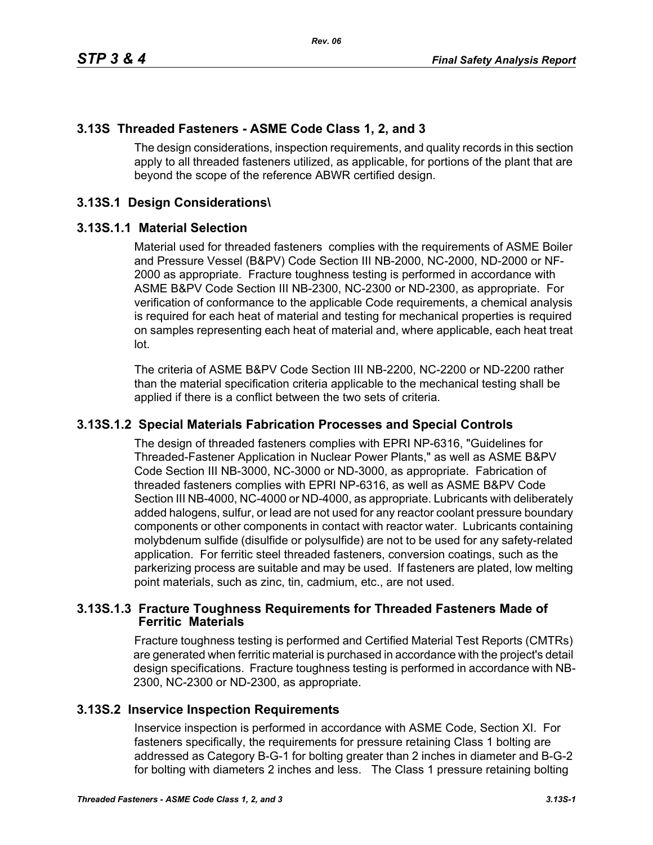# **3.13S Threaded Fasteners - ASME Code Class 1, 2, and 3**

The design considerations, inspection requirements, and quality records in this section apply to all threaded fasteners utilized, as applicable, for portions of the plant that are beyond the scope of the reference ABWR certified design.

# **3.13S.1 Design Considerations\**

#### **3.13S.1.1 Material Selection**

Material used for threaded fasteners complies with the requirements of ASME Boiler and Pressure Vessel (B&PV) Code Section III NB-2000, NC-2000, ND-2000 or NF-2000 as appropriate. Fracture toughness testing is performed in accordance with ASME B&PV Code Section III NB-2300, NC-2300 or ND-2300, as appropriate. For verification of conformance to the applicable Code requirements, a chemical analysis is required for each heat of material and testing for mechanical properties is required on samples representing each heat of material and, where applicable, each heat treat lot.

The criteria of ASME B&PV Code Section III NB-2200, NC-2200 or ND-2200 rather than the material specification criteria applicable to the mechanical testing shall be applied if there is a conflict between the two sets of criteria.

## **3.13S.1.2 Special Materials Fabrication Processes and Special Controls**

The design of threaded fasteners complies with EPRI NP-6316, "Guidelines for Threaded-Fastener Application in Nuclear Power Plants," as well as ASME B&PV Code Section III NB-3000, NC-3000 or ND-3000, as appropriate. Fabrication of threaded fasteners complies with EPRI NP-6316, as well as ASME B&PV Code Section III NB-4000, NC-4000 or ND-4000, as appropriate. Lubricants with deliberately added halogens, sulfur, or lead are not used for any reactor coolant pressure boundary components or other components in contact with reactor water. Lubricants containing molybdenum sulfide (disulfide or polysulfide) are not to be used for any safety-related application. For ferritic steel threaded fasteners, conversion coatings, such as the parkerizing process are suitable and may be used. If fasteners are plated, low melting point materials, such as zinc, tin, cadmium, etc., are not used.

## **3.13S.1.3 Fracture Toughness Requirements for Threaded Fasteners Made of Ferritic Materials**

Fracture toughness testing is performed and Certified Material Test Reports (CMTRs) are generated when ferritic material is purchased in accordance with the project's detail design specifications. Fracture toughness testing is performed in accordance with NB-2300, NC-2300 or ND-2300, as appropriate.

## **3.13S.2 Inservice Inspection Requirements**

Inservice inspection is performed in accordance with ASME Code, Section XI. For fasteners specifically, the requirements for pressure retaining Class 1 bolting are addressed as Category B-G-1 for bolting greater than 2 inches in diameter and B-G-2 for bolting with diameters 2 inches and less. The Class 1 pressure retaining bolting